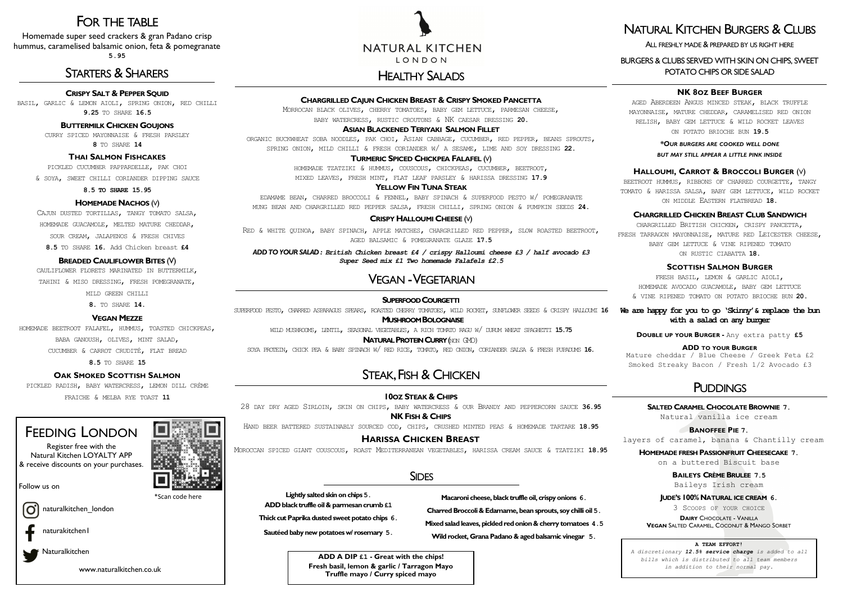# VEGAN -VEGETARIAN

| <b>CHARGRILLED CAJUN CHICKEN BREAST &amp; CRISPY SMOKED PANCETTA</b>       |  |  |  |                                                           |  |  |  |  |  |  |
|----------------------------------------------------------------------------|--|--|--|-----------------------------------------------------------|--|--|--|--|--|--|
| MORROCAN BLACK OLIVES, CHERRY TOMATOES, BABY GEM LETTUCE, PARMESAN CHEESE, |  |  |  |                                                           |  |  |  |  |  |  |
|                                                                            |  |  |  | BABY WATERCRESS, RUSTIC CROUTONS & NK CAESAR DRESSING 20. |  |  |  |  |  |  |
| <b>ASIAN BLACKENED TERIYAKI SALMON FILLET</b>                              |  |  |  |                                                           |  |  |  |  |  |  |

ORGANIC BUCKWHEAT SOBA NOODLES, PAK CHOI, ASIAN CABBAGE, CUCUMBER, RED PEPPER, BEANS SPROUTS,

SPRING ONION, MILD CHILLI & FRESH CORIANDER W/ A SESAME, LIME AND SOY DRESSING **22.** 

# **TURMERIC SPICED CHICKPEA FALAFEL** (V)

HOMEMADE TZATZIKI & HUMMUS, COUSCOUS, CHICKPEAS, CUCUMBER, BEETROOT, MIXED LEAVES, FRESH MINT, FLAT LEAF PARSLEY & HARISSA DRESSING **17.9** 

# **YELLOW FIN TUNA STEAK**

EDAMAME BEAN, CHARRED BROCCOLI & FENNEL, BABY SPINACH & SUPERFOOD PESTO W/ POMEGRANATE MUNG BEAN AND CHARGRILLED RED PEPPER SALSA, FRESH CHILLI, SPRING ONION & PUMPKIN SEEDS **24.** 

# **CRISPY HALLOUMI CHEESE** (V)

RED & WHITE QUINOA, BABY SPINACH, APPLE MATCHES, CHARGRILLED RED PEPPER, SLOW ROASTED BEETROOT, AGED BALSAMIC & POMEGRANATE GLAZE **17.5** 

*ADD TO YOUR SALAD : British Chicken breast £4 / crispy Halloumi cheese £3 / half avocado £3 Super Seed mix £1 Two homemade Falafels £2.5*

## **SALTED CARAMEL CHOCOLATEBROWNIE 7.**

Natural vanilla ice cream

# **BANOFFEE PIE 7.**

## **HOMEMADE FRESH PASSIONFRUIT CHEESECAKE 7.**

on a buttered Biscuit base

## **BAILEYS CRÈMEBRULEE 7.5**

Baileys Irish cream

## **JUDE'S 100% NATURAL ICE CREAM 6.**

3 SCOOPS OF YOUR CHOICE

**DAIRY** CHOCOLATE - VANILLA

## **VEGAN** SALTED CARAMEL, COCONUT & MANGO SORBET

# FOR THE TABLE

Homemade super seed crackers & gran Padano crisp hummus, caramelised balsamic onion, feta & pomegranate **5.95** 

# STARTERS & SHARERS HEALTHY SALADS

# **CRISPY SALT & PEPPER SQUID**

BASIL, GARLIC & LEMON AIOLI, SPRING ONION, RED CHILLI **9.25** TO SHARE **16.5**

# **BUTTERMILK CHICKEN GOUJONS**

CURRY SPICED MAYONNAISE & FRESH PARSLEY **8** TO SHARE **14** 

# **THAI SALMON FISHCAKES**

PICKLED CUCUMBER PAPPARDELLE, PAK CHOI

& SOYA, SWEET CHILLI CORIANDER DIPPING SAUCE

**8.5 TO SHARE 15.95** 

# **HOMEMADE NACHOS** (V)

CAJUN DUSTED TORTILLAS, TANGY TOMATO SALSA, HOMEMADE GUACAMOLE, MELTED MATURE CHEDDAR,

SOUR CREAM, JALAPENOS & FRESH CHIVES

**8.5** TO SHARE **16.** Add Chicken breast **£4**

# **BREADED CAULIFLOWER BITES** (V)

CAULIFLOWER FLORETS MARINATED IN BUTTERMILK.

TAHINI & MISO DRESSING, FRESH POMEGRANATE,

MILD GREEN CHILLI

**8.** TO SHARE **14.**

# **VEGAN MEZZE**

HOMEMADE BEETROOT FALAFEL, HUMMUS, TOASTED CHICKPEAS, BABA GANOUSH, OLIVES, MINT SALAD, CUCUMBER & CARROT CRUDITÉ, FLAT BREAD

**8.5** TO SHARE **15** 

# **OAK SMOKED SCOTTISH SALMON**

PICKLED RADISH, BABY WATERCRESS, LEMON DILL CRÈME

FRAICHE & MELBA RYE TOAST **11** 

# FEEDING LONDON

Register free with the Natural Kitchen LOYALTY APP & receive discounts on your purchases.

\*Scan code here





layers of caramel, banana & Chantilly cream

### **A TEAM EFFORT!**

*A discretionary 12.5% service charge is added to all bills which is distributed to all team members in addition to their normal pay.* 

# **10OZ STEAK & CHIPS**

28 DAY DRY AGED SIRLOIN, SKIN ON CHIPS, BABY WATERCRESS & OUR BRANDY AND PEPPERCORN SAUCE **36.95 NK FISH & CHIPS** 

HAND BEER BATTERED SUSTAINABLY SOURCED COD, CHIPS, CRUSHED MINTED PEAS & HOMEMADE TARTARE **18.95**

# **HARISSA CHICKEN BREAST**

MOROCCAN SPICED GIANT COUSCOUS, ROAST MEDITERRANEAN VEGETABLES, HARISSA CREAM SAUCE & TZATZIKI **18.95** 

# **SIDES**

| <b>SUPERFOOD COURGETTI</b>                                                                                            | ⊺ ک    |  |  |  |  |  |  |
|-----------------------------------------------------------------------------------------------------------------------|--------|--|--|--|--|--|--|
| SUPERFOOD PESTO, CHARRED ASPARAGUS SPEARS, ROASTED CHERRY TOWATOES, WILD ROCKET, SUNFIONER SEEDS & CRISPY HALLOUMI 16 | We are |  |  |  |  |  |  |
| <b>MUSHROOM BOLOGNAISE</b>                                                                                            |        |  |  |  |  |  |  |
| WILD MUSHROOMS, LENTIL, SEASONAL VEGETABLES, A RICH TOMATO RAGU W/ DURUM WHEAT SPAGHETTI 15.75                        |        |  |  |  |  |  |  |
| <b>NATURAL PROTEIN CURRY (NON GMD)</b>                                                                                | D      |  |  |  |  |  |  |
| SOYA PROTEIN, CHICK PEA & BABY SPINACH W/ RED RICE, TOWATO, RED ONION, CORIANDER SALSA & FRESH PUPADUNS 16.           | Matu   |  |  |  |  |  |  |
|                                                                                                                       |        |  |  |  |  |  |  |
| STEAK FISH & CHICKEN                                                                                                  | Smol   |  |  |  |  |  |  |

# STEAN, FISH & CHICKEN

Follow us on

Ö

naturalkitchen\_london

naturakitchen1

Naturalkitchen

www.naturalkitchen.co.uk

# NATURAL KITCHEN LONDON

# **NK 8OZ BEEF BURGER**

AGED ABERDEEN ANGUS MINCED STEAK, BLACK TRUFFLE MAYONNAISE, MATURE CHEDDAR, CARAMELISED RED ONION RELISH, BABY GEM LETTUCE & WILD ROCKET LEAVES ON POTATO BRIOCHE BUN **19.5**

> *\*OUR BURGERS ARE COOKED WELL DONE BUT MAY STILL APPEAR A LITTLE PINK INSIDE*

## **HALLOUMI, CARROT & BROCCOLI BURGER** (V)

BEETROOT HUMMUS, RIBBONS OF CHARRED COURGETTE, TANGY TOMATO & HARISSA SALSA, BABY GEM LETTUCE, WILD ROCKET ON MIDDLE EASTERN FLATBREAD **18.** 

## **CHARGRILLED CHICKEN BREAST CLUB SANDWICH**

CHARGRILLED BRITISH CHICKEN, CRISPY PANCETTA, FRESH TARRAGON MAYONNAISE, MATURE RED LEICESTER CHEESE, BABY GEM LETTUCE & VINE RIPENED TOMATO ON RUSTIC CIABATTA **18.**

# **SCOTTISH SALMON BURGER**

FRESH BASIL, LEMON & GARLIC AIOLI, HOMEMADE AVOCADO GUACAMOLE, BABY GEM LETTUCE & VINE RIPENED TOMATO ON POTATO BRIOCHE BUN **20.** 

# **We are happy for you to go 'Skinny'& replace the bun with a salad on any burger**

**DOUBLE UP YOUR BURGER -** Any extra patty **£5** 

## **ADD TO YOUR BURGER**

re cheddar / Blue Cheese / Greek Feta £2 ked Streaky Bacon / Fresh 1/2 Avocado £3

# **PUDDINGS**

# NATURAL KITCHEN BURGERS & CLUBS

# ALL FRESHLY MADE & PREPARED BY US RIGHT HERE

BURGERS & CLUBS SERVED WITH SKIN ON CHIPS, SWEET POTATO CHIPS OR SIDE SALAD

**Lightly salted skin on chips 5.**

**ADD black truffle oil & parmesan crumb £1**

**Thick cut Paprika dusted sweet potato chips 6.**

**Sautéed baby new potatoes w/ rosemary 5.**

**Macaroni cheese, black truffle oil, crispy onions 6.**

**Charred Broccoli & Edamame, bean sprouts, soy chilli oil 5.**

**Mixed salad leaves, pickled red onion & cherry tomatoes 4.5**

**Wild rocket, Grana Padano & aged balsamic vinegar 5.**

**ADD A DIP £1 - Great with the chips! Fresh basil, lemon & garlic / Tarragon Mayo Truffle mayo / Curry spiced mayo**